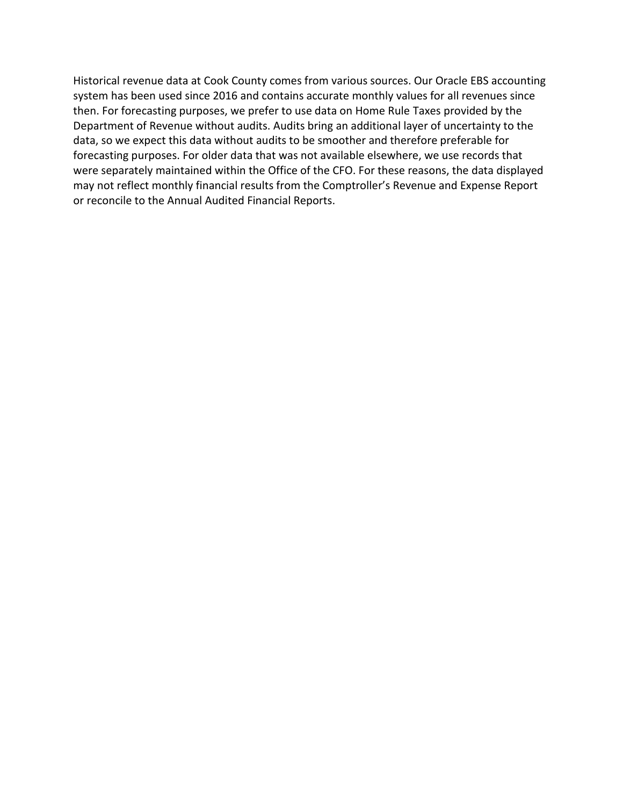Historical revenue data at Cook County comes from various sources. Our Oracle EBS accounting system has been used since 2016 and contains accurate monthly values for all revenues since then. For forecasting purposes, we prefer to use data on Home Rule Taxes provided by the Department of Revenue without audits. Audits bring an additional layer of uncertainty to the data, so we expect this data without audits to be smoother and therefore preferable for forecasting purposes. For older data that was not available elsewhere, we use records that were separately maintained within the Office of the CFO. For these reasons, the data displayed may not reflect monthly financial results from the Comptroller's Revenue and Expense Report or reconcile to the Annual Audited Financial Reports.